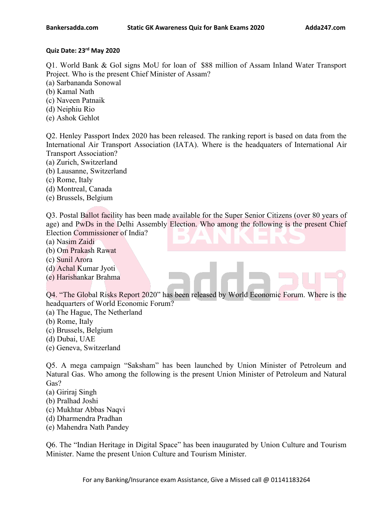## **Quiz Date: 23 rd May 2020**

Q1. World Bank & GoI signs MoU for loan of \$88 million of Assam Inland Water Transport Project. Who is the present Chief Minister of [Assam?](https://www.adda247.com/product-onlineliveclasses/3540/sbi-po-ka-maha-pack-online-live-classes-test-series-video-courses-ebooks-in-english-medium)

- (a) Sarbananda Sonowal
- (b) Kamal Nath
- (c) Naveen Patnaik
- (d) Neiphiu Rio
- (e) Ashok Gehlot

Q2. Henley Passport Index 2020 has been [released.](https://www.adda247.com/product-onlineliveclasses/3936/bank-maha-pack-6-months) The ranking report is based on data from the International Air Transport Association (IATA). Where is the headquaters of International Air Transport Association?

- (a) Zurich, Switzerland
- (b) Lausanne, Switzerland
- (c) Rome, Italy
- (d) Montreal, Canada
- (e) Brussels, Belgium

Q3. Postal Ballot facility has been made available for the Super Senior Citizens (over 80 years of age) and PwDs in the Delhi Assembly Election. Who among the following is the present Chief Election Commissioner of India?

- (a) Nasim Zaidi
- (b) Om Prakash Rawat
- (c) Sunil Arora
- (d) Achal Kumar Jyoti
- (e) Harishankar Brahma

Q4. "The Global Risks Report 2020" has been released by World Economic Forum. Where is the headquarters of World Economic Forum?

- (a) The Hague, The Netherland
- (b) Rome, Italy
- (c) Brussels, Belgium
- (d) Dubai, UAE
- (e) Geneva, Switzerland

Q5. A mega campaign "Saksham" has been launched by Union Minister of Petroleum and Natural Gas. Who among the following is the present Union Minister of Petroleum and Natural Gas?

- (a) Giriraj Singh
- (b) Pralhad Joshi
- (c) Mukhtar Abbas Naqvi
- (d) Dharmendra Pradhan
- (e) Mahendra Nath Pandey

Q6. The "Indian Heritage in Digital Space" has been inaugurated by Union Culture and Tourism Minister. Name the present Union Culture and Tourism Minister.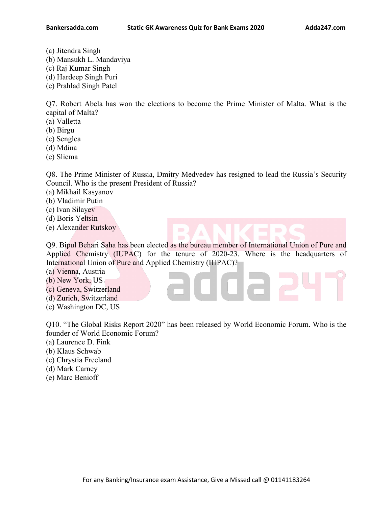- (a) Jitendra Singh
- (b) Mansukh L. Mandaviya
- (c) Raj Kumar Singh
- (d) Hardeep Singh Puri
- (e) Prahlad Singh Patel

Q7. Robert Abela has won the elections to [become](https://www.adda247.com/product-onlineliveclasses/3540/sbi-po-ka-maha-pack-online-live-classes-test-series-video-courses-ebooks-in-english-medium) the Prime Minister of Malta. What is the capital of Malta?

- (a) Valletta
- (b) Birgu
- (c) Senglea
- (d) Mdina
- (e) Sliema

Q8. The Prime Minister of Russia, Dmitry Medvedev has resigned to lead the Russia's Security Council. Who is the present President of Russia?

- (a) Mikhail Kasyanov
- (b) Vladimir Putin
- (c) Ivan Silayev
- (d) Boris Yeltsin
- (e) Alexander Rutskoy

Q9. Bipul Behari Saha has been elected as the bureau member of International Union of Pure and Applied Chemistry (IUPAC) for the tenure of 2020-23. Where is the headquarters of International Union of Pure and Applied Chemistry (IUPAC)?

- (a) Vienna, Austria
- (b) New York, US
- (c) Geneva, Switzerland
- (d) Zurich, Switzerland
- (e) Washington DC, US

Q10. "The Global Risks Report 2020" has been released by World Economic Forum. Who is the founder of World Economic Forum?

- (a) Laurence D. Fink
- (b) Klaus Schwab
- (c) Chrystia Freeland
- (d) Mark Carney
- (e) Marc Benioff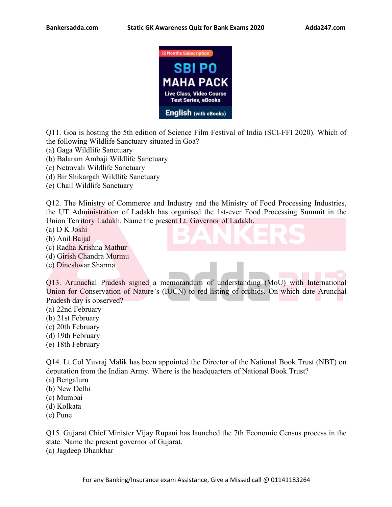

Q11. Goa is hosting the 5th edition of [Science](https://www.adda247.com/product-onlineliveclasses/3936/bank-maha-pack-6-months) Film Festival of India (SCI-FFI 2020). Which of the following Wildlife Sanctuary situated in Goa?

- (a) Gaga Wildlife Sanctuary
- (b) Balaram Ambaji Wildlife Sanctuary
- (c) Netravali Wildlife Sanctuary
- (d) Bir Shikargah Wildlife Sanctuary
- (e) Chail Wildlife Sanctuary

Q12. The Ministry of Commerce and Industry and the Ministry of Food Processing Industries, the UT Administration of Ladakh has organised the 1st-ever Food Processing Summit in the Union Territory Ladakh. Name the present Lt. Governor of Ladakh.

- (a) D K Joshi
- (b) Anil Baijal
- (c) Radha Krishna Mathur
- (d) Girish Chandra Murmu
- (e) Dineshwar Sharma

Q13. Arunachal Pradesh signed a memorandum of understanding (MoU) with International Union for Conservation of Nature's (IUCN) to red-listing of orchids. On which date Arunchal Pradesh day is observed?

- (a) 22nd February
- (b) 21st February
- (c) 20th February
- (d) 19th February
- (e) 18th February

Q14. Lt Col Yuvraj Malik has been appointed the Director of the National Book Trust (NBT) on deputation from the Indian Army. Where is the headquarters of National Book Trust?

- (a) Bengaluru
- (b) New Delhi
- (c) Mumbai
- (d) Kolkata
- (e) Pune

Q15. Gujarat Chief Minister Vijay Rupani has launched the 7th Economic Census process in the state. Name the present governor of Gujarat. (a) Jagdeep Dhankhar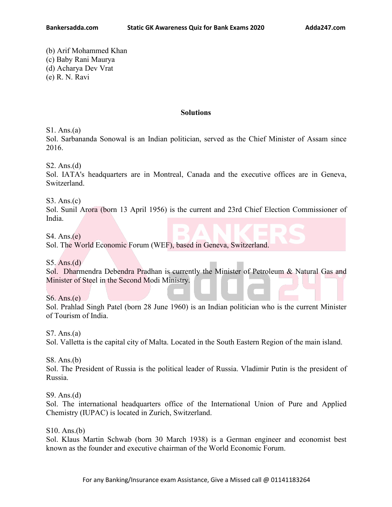(b) Arif Mohammed Khan (c) Baby Rani Maurya (d) Acharya Dev Vrat (e) R. N. Ravi

## **[Solutions](https://www.adda247.com/product-onlineliveclasses/3540/sbi-po-ka-maha-pack-online-live-classes-test-series-video-courses-ebooks-in-english-medium)**

S1. Ans.(a)

Sol. Sarbananda Sonowal is an Indian [politician,](https://www.adda247.com/product-onlineliveclasses/3936/bank-maha-pack-6-months) served as the Chief Minister of Assam since 2016.

S2. Ans.(d)

Sol. IATA's headquarters are in Montreal, Canada and the executive offices are in Geneva, Switzerland.

S3. Ans.(c)

Sol. Sunil Arora (born 13 April 1956) is the current and 23rd Chief Election Commissioner of India.

S4. Ans.(e)

Sol. The World Economic Forum (WEF), based in Geneva, Switzerland.

S5. Ans.(d)

Sol. Dharmendra Debendra Pradhan is currently the Minister of Petroleum & Natural Gas and Minister of Steel in the Second Modi Ministry.

S6. Ans. $(e)$ Sol. Prahlad Singh Patel (born 28 June 1960) is an Indian politician who is the current Minister of Tourism of India.

S7. Ans.(a)

Sol. Valletta is the capital city of Malta. Located in the South Eastern Region of the main island.

S8. Ans.(b)

Sol. The President of Russia is the political leader of Russia. Vladimir Putin is the president of Russia.

S9. Ans.(d)

Sol. The international headquarters office of the International Union of Pure and Applied Chemistry (IUPAC) is located in Zurich, Switzerland.

S10. Ans.(b)

Sol. Klaus Martin Schwab (born 30 March 1938) is a German engineer and economist best known as the founder and executive chairman of the World Economic Forum.